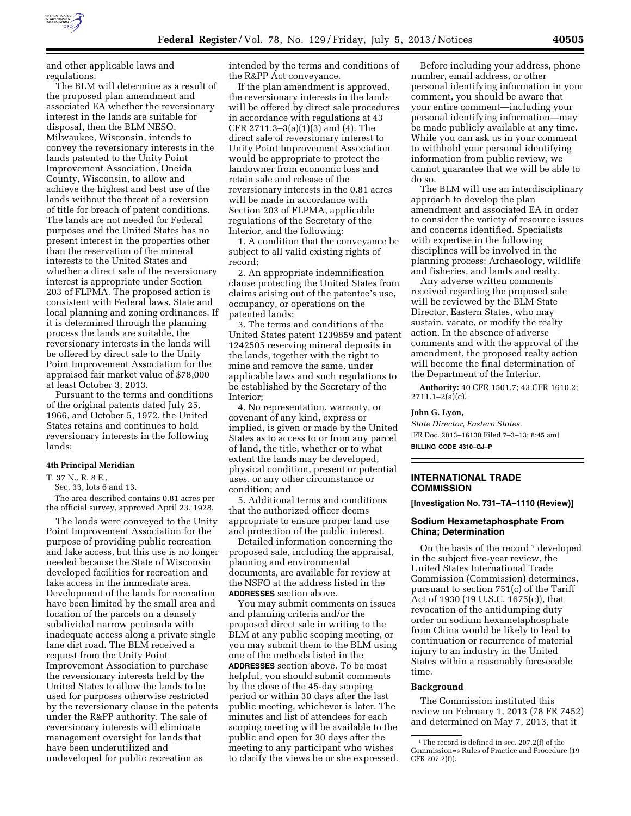

and other applicable laws and regulations.

The BLM will determine as a result of the proposed plan amendment and associated EA whether the reversionary interest in the lands are suitable for disposal, then the BLM NESO, Milwaukee, Wisconsin, intends to convey the reversionary interests in the lands patented to the Unity Point Improvement Association, Oneida County, Wisconsin, to allow and achieve the highest and best use of the lands without the threat of a reversion of title for breach of patent conditions. The lands are not needed for Federal purposes and the United States has no present interest in the properties other than the reservation of the mineral interests to the United States and whether a direct sale of the reversionary interest is appropriate under Section 203 of FLPMA. The proposed action is consistent with Federal laws, State and local planning and zoning ordinances. If it is determined through the planning process the lands are suitable, the reversionary interests in the lands will be offered by direct sale to the Unity Point Improvement Association for the appraised fair market value of \$78,000 at least October 3, 2013.

Pursuant to the terms and conditions of the original patents dated July 25, 1966, and October 5, 1972, the United States retains and continues to hold reversionary interests in the following lands:

### **4th Principal Meridian**

T. 37 N., R. 8 E.,

Sec. 33, lots 6 and 13.

The area described contains 0.81 acres per the official survey, approved April 23, 1928.

The lands were conveyed to the Unity Point Improvement Association for the purpose of providing public recreation and lake access, but this use is no longer needed because the State of Wisconsin developed facilities for recreation and lake access in the immediate area. Development of the lands for recreation have been limited by the small area and location of the parcels on a densely subdivided narrow peninsula with inadequate access along a private single lane dirt road. The BLM received a request from the Unity Point Improvement Association to purchase the reversionary interests held by the United States to allow the lands to be used for purposes otherwise restricted by the reversionary clause in the patents under the R&PP authority. The sale of reversionary interests will eliminate management oversight for lands that have been underutilized and undeveloped for public recreation as

intended by the terms and conditions of the R&PP Act conveyance.

If the plan amendment is approved, the reversionary interests in the lands will be offered by direct sale procedures in accordance with regulations at 43 CFR 2711.3–3(a)(1)(3) and (4). The direct sale of reversionary interest to Unity Point Improvement Association would be appropriate to protect the landowner from economic loss and retain sale and release of the reversionary interests in the 0.81 acres will be made in accordance with Section 203 of FLPMA, applicable regulations of the Secretary of the Interior, and the following:

1. A condition that the conveyance be subject to all valid existing rights of record;

2. An appropriate indemnification clause protecting the United States from claims arising out of the patentee's use, occupancy, or operations on the patented lands;

3. The terms and conditions of the United States patent 1239859 and patent 1242505 reserving mineral deposits in the lands, together with the right to mine and remove the same, under applicable laws and such regulations to be established by the Secretary of the Interior;

4. No representation, warranty, or covenant of any kind, express or implied, is given or made by the United States as to access to or from any parcel of land, the title, whether or to what extent the lands may be developed, physical condition, present or potential uses, or any other circumstance or condition; and

5. Additional terms and conditions that the authorized officer deems appropriate to ensure proper land use and protection of the public interest.

Detailed information concerning the proposed sale, including the appraisal, planning and environmental documents, are available for review at the NSFO at the address listed in the **ADDRESSES** section above.

You may submit comments on issues and planning criteria and/or the proposed direct sale in writing to the BLM at any public scoping meeting, or you may submit them to the BLM using one of the methods listed in the **ADDRESSES** section above. To be most helpful, you should submit comments by the close of the 45-day scoping period or within 30 days after the last public meeting, whichever is later. The minutes and list of attendees for each scoping meeting will be available to the public and open for 30 days after the meeting to any participant who wishes to clarify the views he or she expressed.

Before including your address, phone number, email address, or other personal identifying information in your comment, you should be aware that your entire comment—including your personal identifying information—may be made publicly available at any time. While you can ask us in your comment to withhold your personal identifying information from public review, we cannot guarantee that we will be able to do so.

The BLM will use an interdisciplinary approach to develop the plan amendment and associated EA in order to consider the variety of resource issues and concerns identified. Specialists with expertise in the following disciplines will be involved in the planning process: Archaeology, wildlife and fisheries, and lands and realty.

Any adverse written comments received regarding the proposed sale will be reviewed by the BLM State Director, Eastern States, who may sustain, vacate, or modify the realty action. In the absence of adverse comments and with the approval of the amendment, the proposed realty action will become the final determination of the Department of the Interior.

**Authority:** 40 CFR 1501.7; 43 CFR 1610.2;  $2711.1 - 2(a)(c)$ .

#### **John G. Lyon,**

*State Director, Eastern States.*  [FR Doc. 2013–16130 Filed 7–3–13; 8:45 am] **BILLING CODE 4310–GJ–P** 

### **INTERNATIONAL TRADE COMMISSION**

**[Investigation No. 731–TA–1110 (Review)]** 

### **Sodium Hexametaphosphate From China; Determination**

On the basis of the record  $1$  developed in the subject five-year review, the United States International Trade Commission (Commission) determines, pursuant to section 751(c) of the Tariff Act of 1930 (19 U.S.C. 1675(c)), that revocation of the antidumping duty order on sodium hexametaphosphate from China would be likely to lead to continuation or recurrence of material injury to an industry in the United States within a reasonably foreseeable time.

#### **Background**

The Commission instituted this review on February 1, 2013 (78 FR 7452) and determined on May 7, 2013, that it

 $^{\rm 1}\!$  The record is defined in sec. 207.2(f) of the Commission=s Rules of Practice and Procedure (19 CFR 207.2(f)).